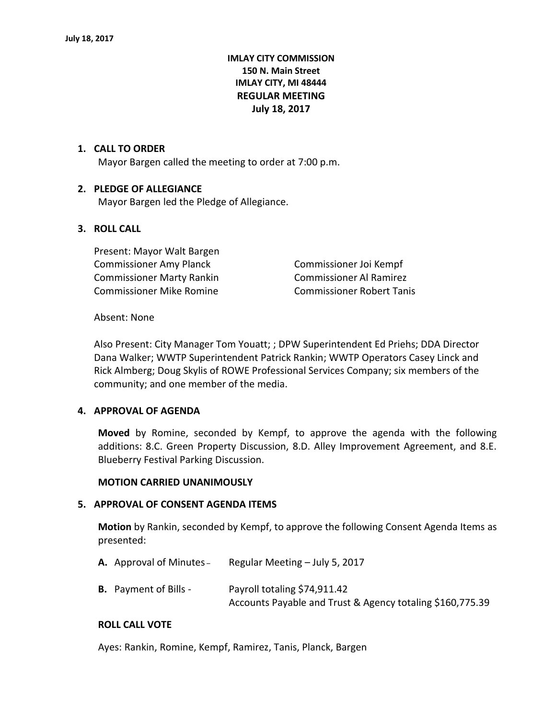# **IMLAY CITY COMMISSION 150 N. Main Street IMLAY CITY, MI 48444 REGULAR MEETING July 18, 2017**

# **1. CALL TO ORDER**

Mayor Bargen called the meeting to order at 7:00 p.m.

#### **2. PLEDGE OF ALLEGIANCE**

Mayor Bargen led the Pledge of Allegiance.

## **3. ROLL CALL**

Present: Mayor Walt Bargen Commissioner Amy Planck Commissioner Joi Kempf Commissioner Marty Rankin Commissioner Al Ramirez Commissioner Mike Romine Commissioner Robert Tanis

#### Absent: None

Also Present: City Manager Tom Youatt; ; DPW Superintendent Ed Priehs; DDA Director Dana Walker; WWTP Superintendent Patrick Rankin; WWTP Operators Casey Linck and Rick Almberg; Doug Skylis of ROWE Professional Services Company; six members of the community; and one member of the media.

#### **4. APPROVAL OF AGENDA**

**Moved** by Romine, seconded by Kempf, to approve the agenda with the following additions: 8.C. Green Property Discussion, 8.D. Alley Improvement Agreement, and 8.E. Blueberry Festival Parking Discussion.

#### **MOTION CARRIED UNANIMOUSLY**

#### **5. APPROVAL OF CONSENT AGENDA ITEMS**

**Motion** by Rankin, seconded by Kempf, to approve the following Consent Agenda Items as presented:

**A.** Approval of Minutes – Regular Meeting – July 5, 2017

**B.** Payment of Bills - Payroll totaling \$74,911.42 Accounts Payable and Trust & Agency totaling \$160,775.39

#### **ROLL CALL VOTE**

Ayes: Rankin, Romine, Kempf, Ramirez, Tanis, Planck, Bargen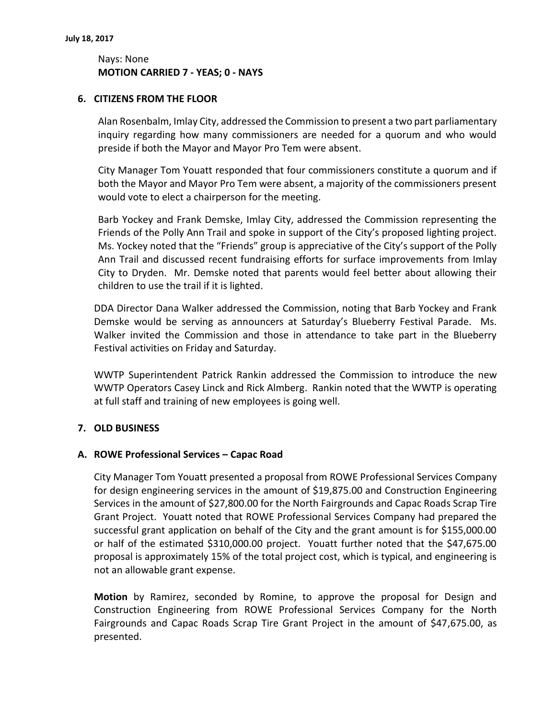# Nays: None **MOTION CARRIED 7 - YEAS; 0 - NAYS**

## **6. CITIZENS FROM THE FLOOR**

Alan Rosenbalm, Imlay City, addressed the Commission to present a two part parliamentary inquiry regarding how many commissioners are needed for a quorum and who would preside if both the Mayor and Mayor Pro Tem were absent.

City Manager Tom Youatt responded that four commissioners constitute a quorum and if both the Mayor and Mayor Pro Tem were absent, a majority of the commissioners present would vote to elect a chairperson for the meeting.

Barb Yockey and Frank Demske, Imlay City, addressed the Commission representing the Friends of the Polly Ann Trail and spoke in support of the City's proposed lighting project. Ms. Yockey noted that the "Friends" group is appreciative of the City's support of the Polly Ann Trail and discussed recent fundraising efforts for surface improvements from Imlay City to Dryden. Mr. Demske noted that parents would feel better about allowing their children to use the trail if it is lighted.

DDA Director Dana Walker addressed the Commission, noting that Barb Yockey and Frank Demske would be serving as announcers at Saturday's Blueberry Festival Parade. Ms. Walker invited the Commission and those in attendance to take part in the Blueberry Festival activities on Friday and Saturday.

WWTP Superintendent Patrick Rankin addressed the Commission to introduce the new WWTP Operators Casey Linck and Rick Almberg. Rankin noted that the WWTP is operating at full staff and training of new employees is going well.

# **7. OLD BUSINESS**

# **A. ROWE Professional Services – Capac Road**

City Manager Tom Youatt presented a proposal from ROWE Professional Services Company for design engineering services in the amount of \$19,875.00 and Construction Engineering Services in the amount of \$27,800.00 for the North Fairgrounds and Capac Roads Scrap Tire Grant Project. Youatt noted that ROWE Professional Services Company had prepared the successful grant application on behalf of the City and the grant amount is for \$155,000.00 or half of the estimated \$310,000.00 project. Youatt further noted that the \$47,675.00 proposal is approximately 15% of the total project cost, which is typical, and engineering is not an allowable grant expense.

**Motion** by Ramirez, seconded by Romine, to approve the proposal for Design and Construction Engineering from ROWE Professional Services Company for the North Fairgrounds and Capac Roads Scrap Tire Grant Project in the amount of \$47,675.00, as presented.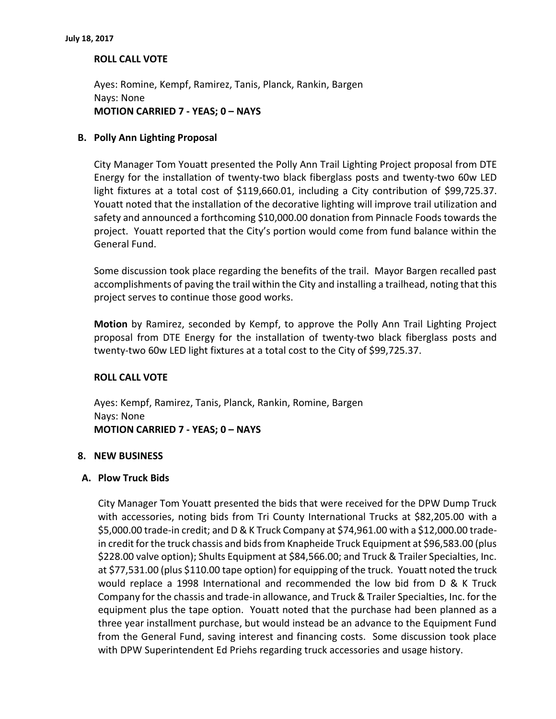# **ROLL CALL VOTE**

Ayes: Romine, Kempf, Ramirez, Tanis, Planck, Rankin, Bargen Nays: None **MOTION CARRIED 7 - YEAS; 0 – NAYS**

## **B. Polly Ann Lighting Proposal**

City Manager Tom Youatt presented the Polly Ann Trail Lighting Project proposal from DTE Energy for the installation of twenty-two black fiberglass posts and twenty-two 60w LED light fixtures at a total cost of \$119,660.01, including a City contribution of \$99,725.37. Youatt noted that the installation of the decorative lighting will improve trail utilization and safety and announced a forthcoming \$10,000.00 donation from Pinnacle Foods towards the project. Youatt reported that the City's portion would come from fund balance within the General Fund.

Some discussion took place regarding the benefits of the trail. Mayor Bargen recalled past accomplishments of paving the trail within the City and installing a trailhead, noting that this project serves to continue those good works.

**Motion** by Ramirez, seconded by Kempf, to approve the Polly Ann Trail Lighting Project proposal from DTE Energy for the installation of twenty-two black fiberglass posts and twenty-two 60w LED light fixtures at a total cost to the City of \$99,725.37.

#### **ROLL CALL VOTE**

Ayes: Kempf, Ramirez, Tanis, Planck, Rankin, Romine, Bargen Nays: None **MOTION CARRIED 7 - YEAS; 0 – NAYS**

#### **8. NEW BUSINESS**

#### **A. Plow Truck Bids**

City Manager Tom Youatt presented the bids that were received for the DPW Dump Truck with accessories, noting bids from Tri County International Trucks at \$82,205.00 with a \$5,000.00 trade-in credit; and D & K Truck Company at \$74,961.00 with a \$12,000.00 tradein credit for the truck chassis and bids from Knapheide Truck Equipment at \$96,583.00 (plus \$228.00 valve option); Shults Equipment at \$84,566.00; and Truck & Trailer Specialties, Inc. at \$77,531.00 (plus \$110.00 tape option) for equipping of the truck. Youatt noted the truck would replace a 1998 International and recommended the low bid from D & K Truck Company for the chassis and trade-in allowance, and Truck & Trailer Specialties, Inc. for the equipment plus the tape option. Youatt noted that the purchase had been planned as a three year installment purchase, but would instead be an advance to the Equipment Fund from the General Fund, saving interest and financing costs. Some discussion took place with DPW Superintendent Ed Priehs regarding truck accessories and usage history.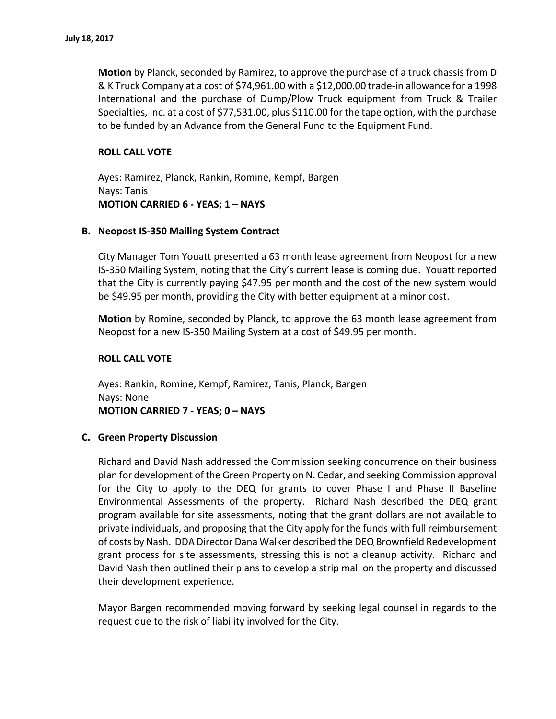**Motion** by Planck, seconded by Ramirez, to approve the purchase of a truck chassis from D & K Truck Company at a cost of \$74,961.00 with a \$12,000.00 trade-in allowance for a 1998 International and the purchase of Dump/Plow Truck equipment from Truck & Trailer Specialties, Inc. at a cost of \$77,531.00, plus \$110.00 for the tape option, with the purchase to be funded by an Advance from the General Fund to the Equipment Fund.

# **ROLL CALL VOTE**

Ayes: Ramirez, Planck, Rankin, Romine, Kempf, Bargen Nays: Tanis **MOTION CARRIED 6 - YEAS; 1 – NAYS**

## **B. Neopost IS-350 Mailing System Contract**

City Manager Tom Youatt presented a 63 month lease agreement from Neopost for a new IS-350 Mailing System, noting that the City's current lease is coming due. Youatt reported that the City is currently paying \$47.95 per month and the cost of the new system would be \$49.95 per month, providing the City with better equipment at a minor cost.

**Motion** by Romine, seconded by Planck, to approve the 63 month lease agreement from Neopost for a new IS-350 Mailing System at a cost of \$49.95 per month.

## **ROLL CALL VOTE**

Ayes: Rankin, Romine, Kempf, Ramirez, Tanis, Planck, Bargen Nays: None **MOTION CARRIED 7 - YEAS; 0 – NAYS**

# **C. Green Property Discussion**

Richard and David Nash addressed the Commission seeking concurrence on their business plan for development of the Green Property on N. Cedar, and seeking Commission approval for the City to apply to the DEQ for grants to cover Phase I and Phase II Baseline Environmental Assessments of the property. Richard Nash described the DEQ grant program available for site assessments, noting that the grant dollars are not available to private individuals, and proposing that the City apply for the funds with full reimbursement of costs by Nash. DDA Director Dana Walker described the DEQ Brownfield Redevelopment grant process for site assessments, stressing this is not a cleanup activity. Richard and David Nash then outlined their plans to develop a strip mall on the property and discussed their development experience.

Mayor Bargen recommended moving forward by seeking legal counsel in regards to the request due to the risk of liability involved for the City.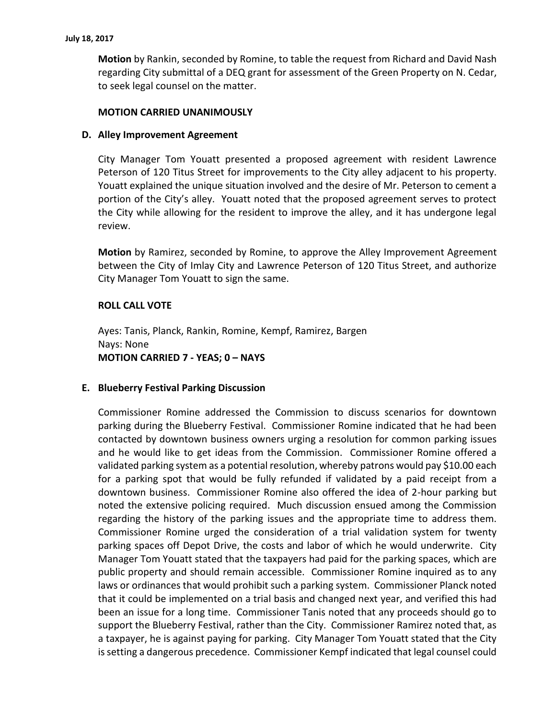**Motion** by Rankin, seconded by Romine, to table the request from Richard and David Nash regarding City submittal of a DEQ grant for assessment of the Green Property on N. Cedar, to seek legal counsel on the matter.

## **MOTION CARRIED UNANIMOUSLY**

## **D. Alley Improvement Agreement**

City Manager Tom Youatt presented a proposed agreement with resident Lawrence Peterson of 120 Titus Street for improvements to the City alley adjacent to his property. Youatt explained the unique situation involved and the desire of Mr. Peterson to cement a portion of the City's alley. Youatt noted that the proposed agreement serves to protect the City while allowing for the resident to improve the alley, and it has undergone legal review.

**Motion** by Ramirez, seconded by Romine, to approve the Alley Improvement Agreement between the City of Imlay City and Lawrence Peterson of 120 Titus Street, and authorize City Manager Tom Youatt to sign the same.

#### **ROLL CALL VOTE**

Ayes: Tanis, Planck, Rankin, Romine, Kempf, Ramirez, Bargen Nays: None **MOTION CARRIED 7 - YEAS; 0 – NAYS**

#### **E. Blueberry Festival Parking Discussion**

Commissioner Romine addressed the Commission to discuss scenarios for downtown parking during the Blueberry Festival. Commissioner Romine indicated that he had been contacted by downtown business owners urging a resolution for common parking issues and he would like to get ideas from the Commission. Commissioner Romine offered a validated parking system as a potential resolution, whereby patrons would pay \$10.00 each for a parking spot that would be fully refunded if validated by a paid receipt from a downtown business. Commissioner Romine also offered the idea of 2-hour parking but noted the extensive policing required. Much discussion ensued among the Commission regarding the history of the parking issues and the appropriate time to address them. Commissioner Romine urged the consideration of a trial validation system for twenty parking spaces off Depot Drive, the costs and labor of which he would underwrite. City Manager Tom Youatt stated that the taxpayers had paid for the parking spaces, which are public property and should remain accessible. Commissioner Romine inquired as to any laws or ordinances that would prohibit such a parking system. Commissioner Planck noted that it could be implemented on a trial basis and changed next year, and verified this had been an issue for a long time. Commissioner Tanis noted that any proceeds should go to support the Blueberry Festival, rather than the City. Commissioner Ramirez noted that, as a taxpayer, he is against paying for parking. City Manager Tom Youatt stated that the City is setting a dangerous precedence. Commissioner Kempf indicated that legal counsel could